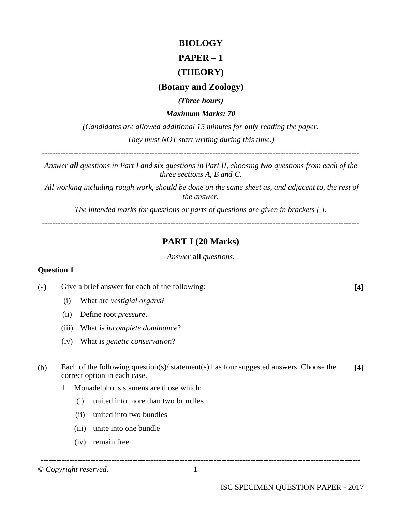# **BIOLOGY PAPER – 1**

# **(THEORY)**

# **(Botany and Zoology)**

*(Three hours)*

*Maximum Marks: 70*

*(Candidates are allowed additional 15 minutes for only reading the paper. They must NOT start writing during this time.)*

-------------------------------------------------------------------------------------------------------------------------

*Answer all questions in Part I and six questions in Part II, choosing two questions from each of the three sections A, B and C.*

*All working including rough work, should be done on the same sheet as, and adjacent to, the rest of the answer.*

*The intended marks for questions or parts of questions are given in brackets [ ].*

*-------------------------------------------------------------------------------------------------------------------------*

# **PART I (20 Marks)**

*Answer* **all** *questions.*

#### **Question 1**

(a) Give a brief answer for each of the following: **[4]**

- (i) What are *vestigial organs*?
- (ii) Define root *pressure*.
- (iii) What is *incomplete dominance*?
- (iv) What is *genetic conservation*?
- (b) Each of the following question(s)/ statement(s) has four suggested answers. Choose the correct option in each case. **[4]**
	- 1. Monadelphous stamens are those which:
		- (i) united into more than two bundles
		- (ii) united into two bundles
		- (iii) unite into one bundle
		- (iv) remain free

© *Copyright reserved*. 1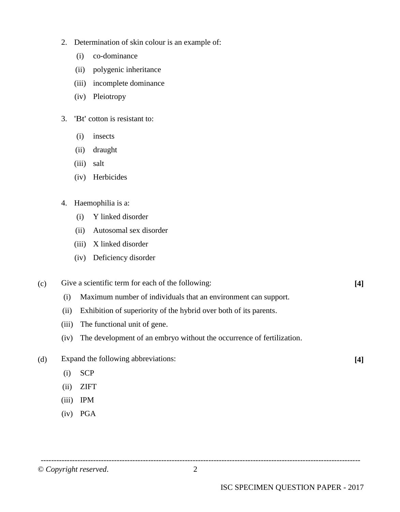- 2. Determination of skin colour is an example of:
	- (i) co-dominance
	- (ii) polygenic inheritance
	- (iii) incomplete dominance
	- (iv) Pleiotropy
- 3. 'Bt' cotton is resistant to:
	- (i) insects
	- (ii) draught
	- (iii) salt
	- (iv) Herbicides
- 4. Haemophilia is a:
	- (i) Y linked disorder
	- (ii) Autosomal sex disorder
	- (iii) X linked disorder
	- (iv) Deficiency disorder

# (c) Give a scientific term for each of the following: **[4]**

- (i) Maximum number of individuals that an environment can support.
- (ii) Exhibition of superiority of the hybrid over both of its parents.
- (iii) The functional unit of gene.
- (iv) The development of an embryo without the occurrence of fertilization.
- (d) Expand the following abbreviations: **[4]**
	- (i) SCP
	- (ii) ZIFT
	- (iii) IPM
	- (iv) PGA

-------------------------------------------------------------------------------------------------------------------------- © *Copyright reserved*. 2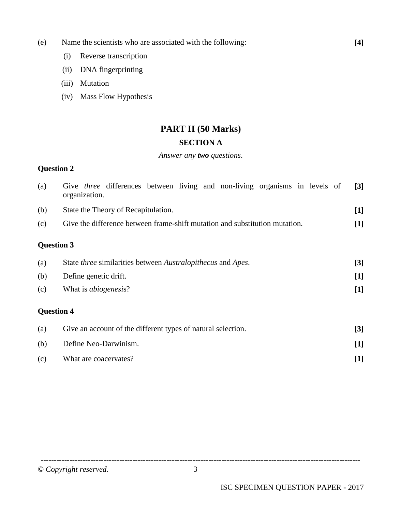- (e) Name the scientists who are associated with the following: **[4]**
	- (i) Reverse transcription
	- (ii) DNA fingerprinting
	- (iii) Mutation
	- (iv) Mass Flow Hypothesis

# **PART II (50 Marks)**

# **SECTION A**

#### *Answer any two questions*.

# **Question 2**

| (a) | Give three differences between living and non-living organisms in levels of<br>organization. | $[3]$      |  |  |  |
|-----|----------------------------------------------------------------------------------------------|------------|--|--|--|
| (b) | State the Theory of Recapitulation.                                                          |            |  |  |  |
| (c) | Give the difference between frame-shift mutation and substitution mutation.                  | $[1]$      |  |  |  |
|     | <b>Question 3</b>                                                                            |            |  |  |  |
| (a) | State <i>three</i> similarities between <i>Australopithecus</i> and <i>Apes</i> .            |            |  |  |  |
| (b) | Define genetic drift.                                                                        | $[1]$      |  |  |  |
| (c) | What is <i>abiogenesis?</i>                                                                  | $[1]$      |  |  |  |
|     | <b>Question 4</b>                                                                            |            |  |  |  |
| (a) | Give an account of the different types of natural selection.                                 | $[3]$      |  |  |  |
| (b) | Define Neo-Darwinism.                                                                        | $[1]$      |  |  |  |
| (c) | What are coacervates?                                                                        | $\bm{[1]}$ |  |  |  |

© *Copyright reserved*. 3

--------------------------------------------------------------------------------------------------------------------------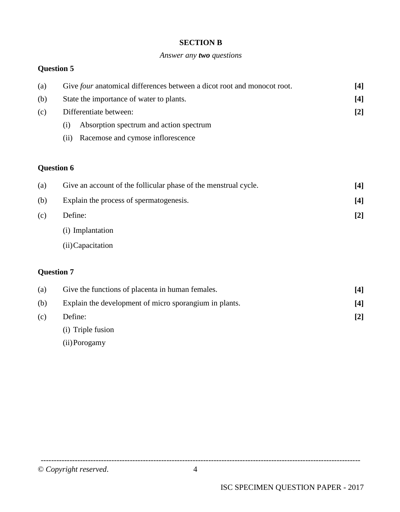#### **SECTION B**

#### *Answer any two questions*

# **Question 5**

| (a) | Give <i>four</i> anatomical differences between a dicot root and monocot root. | [4] |
|-----|--------------------------------------------------------------------------------|-----|
| (b) | State the importance of water to plants.                                       | [4] |
| (c) | Differentiate between:                                                         | [2] |
|     | Absorption spectrum and action spectrum<br>(i)                                 |     |
|     | Racemose and cymose inflorescence<br>(11)                                      |     |

# **Question 6**

| (a) | Give an account of the follicular phase of the menstrual cycle. | [4]   |
|-----|-----------------------------------------------------------------|-------|
| (b) | Explain the process of spermatogenesis.                         | [4]   |
| (c) | Define:                                                         | $[2]$ |
|     | (i) Implantation                                                |       |
|     | (ii) Capacitation                                               |       |

#### **Question 7**

| (a) | Give the functions of placenta in human females.       | [4] |
|-----|--------------------------------------------------------|-----|
| (b) | Explain the development of micro sporangium in plants. | [4] |
| (c) | Define:                                                | [2] |
|     | (i) Triple fusion                                      |     |

(ii)Porogamy

© *Copyright reserved*. 4

--------------------------------------------------------------------------------------------------------------------------